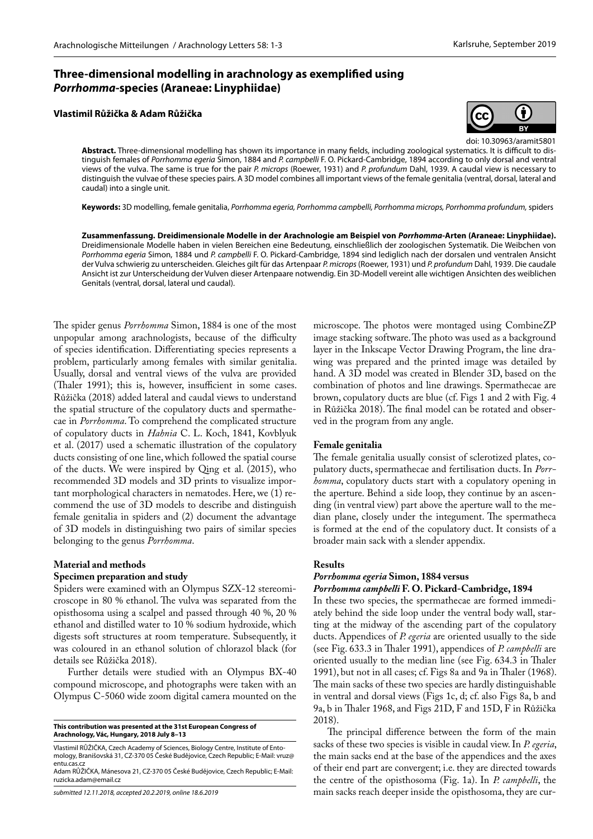## **Three-dimensional modelling in arachnology as exemplified using**  *Porrhomma***-species (Araneae: Linyphiidae)**

#### **Vlastimil Růžička & Adam Růžička**



doi: 10.30963/aramit5801

**Abstract.** Three-dimensional modelling has shown its importance in many fields, including zoological systematics. It is difficult to distinguish females of *Porrhomma egeria* Simon, 1884 and *P. campbelli* F. O. Pickard-Cambridge, 1894 according to only dorsal and ventral views of the vulva. The same is true for the pair *P. microps* (Roewer, 1931) and *P. profundum* Dahl, 1939. A caudal view is necessary to distinguish the vulvae of these species pairs. A 3D model combines all important views of the female genitalia (ventral, dorsal, lateral and caudal) into a single unit.

**Keywords:** 3D modelling, female genitalia, *Porrhomma egeria, Porrhomma campbelli, Porrhomma microps, Porrhomma profundum,* spiders

**Zusammenfassung. Dreidimensionale Modelle in der Arachnologie am Beispiel von** *Porrhomma***-Arten (Araneae: Linyphiidae).**  Dreidimensionale Modelle haben in vielen Bereichen eine Bedeutung, einschließlich der zoologischen Systematik. Die Weibchen von *Porrhomma egeria* Simon, 1884 und *P. campbelli* F. O. Pickard-Cambridge, 1894 sind lediglich nach der dorsalen und ventralen Ansicht der Vulva schwierig zu unterscheiden. Gleiches gilt für das Artenpaar *P. microps* (Roewer, 1931) und *P. profundum* Dahl, 1939. Die caudale Ansicht ist zur Unterscheidung der Vulven dieser Artenpaare notwendig. Ein 3D-Modell vereint alle wichtigen Ansichten des weiblichen Genitals (ventral, dorsal, lateral und caudal).

The spider genus *Porrhomma* Simon, 1884 is one of the most unpopular among arachnologists, because of the difficulty of species identification. Differentiating species represents a problem, particularly among females with similar genitalia. Usually, dorsal and ventral views of the vulva are provided (Thaler 1991); this is, however, insufficient in some cases. Růžička (2018) added lateral and caudal views to understand the spatial structure of the copulatory ducts and spermathecae in *Porrhomma*. To comprehend the complicated structure of copulatory ducts in *Hahnia* C. L. Koch, 1841, Kovblyuk et al. (2017) used a schematic illustration of the copulatory ducts consisting of one line, which followed the spatial course of the ducts. We were inspired by Qing et al. (2015), who recommended 3D models and 3D prints to visualize important morphological characters in nematodes. Here, we (1) recommend the use of 3D models to describe and distinguish female genitalia in spiders and (2) document the advantage of 3D models in distinguishing two pairs of similar species belonging to the genus *Porrhomma*.

#### **Material and methods**

#### **Specimen preparation and study**

Spiders were examined with an Olympus SZX-12 stereomicroscope in 80 % ethanol. The vulva was separated from the opisthosoma using a scalpel and passed through 40 %, 20 % ethanol and distilled water to 10 % sodium hydroxide, which digests soft structures at room temperature. Subsequently, it was coloured in an ethanol solution of chlorazol black (for details see Růžička 2018).

Further details were studied with an Olympus BX-40 compound microscope, and photographs were taken with an Olympus C-5060 wide zoom digital camera mounted on the

**This contribution was presented at the 31st European Congress of Arachnology, Vác, Hungary, 2018 July 8–13**

Vlastimil RŮŽIČKA, Czech Academy of Sciences, Biology Centre, Institute of Entomology, Branišovská 31, CZ-370 05 České Budějovice, Czech Republic; E-Mail: vruz@ entu.cas.cz

Adam RŮŽIČKA, Mánesova 21, CZ-370 05 České Budějovice, Czech Republic; E-Mail: ruzicka.adam@email.cz

microscope. The photos were montaged using CombineZP image stacking software. The photo was used as a background layer in the Inkscape Vector Drawing Program, the line drawing was prepared and the printed image was detailed by hand. A 3D model was created in Blender 3D, based on the combination of photos and line drawings. Spermathecae are brown, copulatory ducts are blue (cf. Figs 1 and 2 with Fig. 4 in Růžička 2018). The final model can be rotated and observed in the program from any angle.

#### **Female genitalia**

The female genitalia usually consist of sclerotized plates, copulatory ducts, spermathecae and fertilisation ducts. In *Porrhomma*, copulatory ducts start with a copulatory opening in the aperture. Behind a side loop, they continue by an ascending (in ventral view) part above the aperture wall to the median plane, closely under the integument. The spermatheca is formed at the end of the copulatory duct. It consists of a broader main sack with a slender appendix.

#### **Results**

## *Porrhomma egeria* **Simon, 1884 versus**

*Porrhomma campbelli* **F. O. Pickard-Cambridge, 1894**

In these two species, the spermathecae are formed immediately behind the side loop under the ventral body wall, starting at the midway of the ascending part of the copulatory ducts. Appendices of *P. egeria* are oriented usually to the side (see Fig. 633.3 in Thaler 1991), appendices of *P. campbelli* are oriented usually to the median line (see Fig. 634.3 in Thaler 1991), but not in all cases; cf. Figs 8a and 9a in Thaler (1968). The main sacks of these two species are hardly distinguishable in ventral and dorsal views (Figs 1c, d; cf. also Figs 8a, b and 9a, b in Thaler 1968, and Figs 21D, F and 15D, F in Růžička 2018).

The principal difference between the form of the main sacks of these two species is visible in caudal view. In *P. egeria*, the main sacks end at the base of the appendices and the axes of their end part are convergent; i.e. they are directed towards the centre of the opisthosoma (Fig. 1a). In *P. campbelli*, the main sacks reach deeper inside the opisthosoma, they are cur-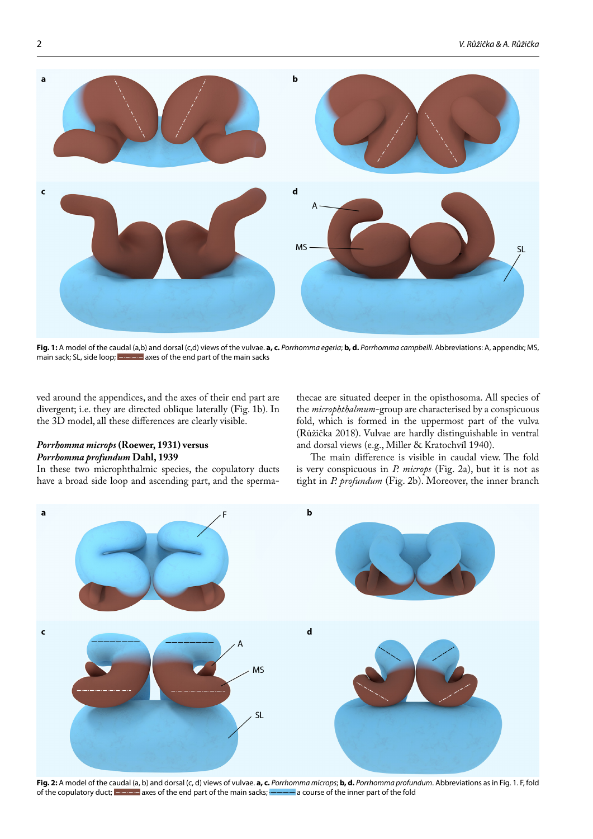

**Fig. 1:** A model of the caudal (a,b) and dorsal (c,d) views of the vulvae. **a, c.** *Porrhomma egeria*; **b, d.** *Porrhomma campbelli*. Abbreviations: A, appendix; MS, main sack; SL, side loop; **and the axes of the end part of the main sacks** 

ved around the appendices, and the axes of their end part are divergent; i.e. they are directed oblique laterally (Fig. 1b). In the 3D model, all these differences are clearly visible.

### *Porrhomma microps* **(Roewer, 1931) versus**  *Porrhomma profundum* **Dahl, 1939**

In these two microphthalmic species, the copulatory ducts have a broad side loop and ascending part, and the spermathecae are situated deeper in the opisthosoma. All species of the *microphthalmum*-group are characterised by a conspicuous fold, which is formed in the uppermost part of the vulva (Růžička 2018). Vulvae are hardly distinguishable in ventral and dorsal views (e.g., Miller & Kratochvíl 1940).

The main difference is visible in caudal view. The fold is very conspicuous in *P. microps* (Fig. 2a), but it is not as tight in *P. profundum* (Fig. 2b). Moreover, the inner branch



**Fig. 2:** A model of the caudal (a, b) and dorsal (c, d) views of vulvae. **a, c.** *Porrhomma microps*; **b, d.** *Porrhomma profundum*. Abbreviations as in Fig. 1. F, fold of the copulatory duct; **allowing** axes of the end part of the main sacks; **a course** of the inner part of the fold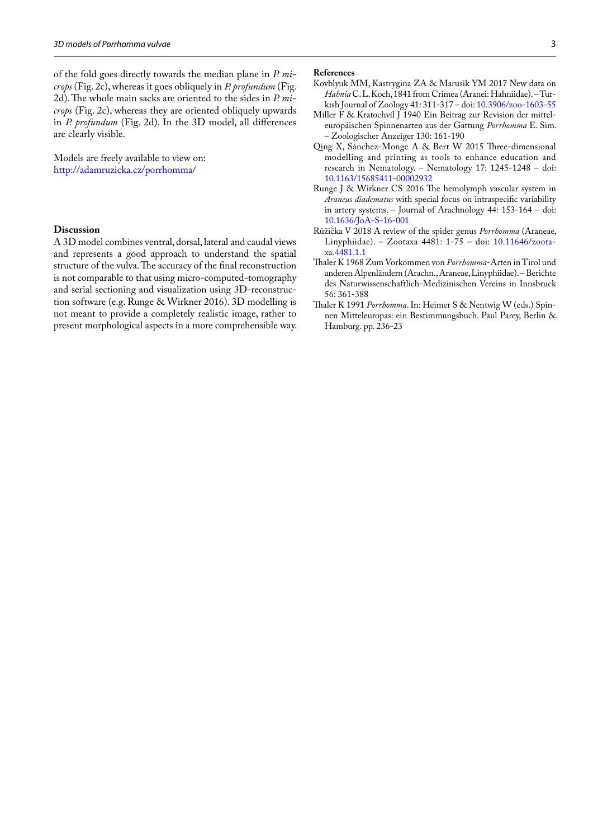of the fold goes directly towards the median plane in *P. microps* (Fig. 2c), whereas it goes obliquely in *P. profundum* (Fig. 2d). The whole main sacks are oriented to the sides in *P. microps* (Fig. 2c), whereas they are oriented obliquely upwards in *P. profundum* (Fig. 2d). In the 3D model, all differences are clearly visible.

Models are freely available to view on: <http://adamruzicka.cz/porrhomma/>

#### **Discussion**

A 3D model combines ventral, dorsal, lateral and caudal views and represents a good approach to understand the spatial structure of the vulva. The accuracy of the final reconstruction is not comparable to that using micro-computed-tomography and serial sectioning and visualization using 3D-reconstruction software (e.g. Runge & Wirkner 2016). 3D modelling is not meant to provide a completely realistic image, rather to present morphological aspects in a more comprehensible way.

- Kovblyuk MM, Kastrygina ZA & Marusik YM 2017 New data on *Hahnia* C. L. Koch, 1841 from Crimea (Aranei: Hahniidae). – Turkish Journal of Zoology 41: 311-317 – doi: [10.3906/zoo-1603-55](http://dx.doi.org/10.3906/zoo-1603-55)
- Miller F & Kratochvíl J 1940 Ein Beitrag zur Revision der mitteleuropäischen Spinnenarten aus der Gattung *Porrhomma* E. Sim. – Zoologischer Anzeiger 130: 161-190
- Qing X, Sánchez-Monge A & Bert W 2015 Three-dimensional modelling and printing as tools to enhance education and research in Nematology. – Nematology 17: 1245-1248 – doi: [10.1163/15685411-00002932](http://dx.doi.org/10.1163/15685411-00002932)
- Runge J & Wirkner CS 2016 The hemolymph vascular system in *Araneus diadematus* with special focus on intraspecific variability in artery systems. – Journal of Arachnology 44: 153-164 – doi: [10.1636/JoA-S-16-001](http://dx.doi.org/10.1636/JoA-S-16-001)
- Růžička V 2018 A review of the spider genus *Porrhomma* (Araneae, Linyphiidae). – Zootaxa 4481: 1-75 – doi: [10.11646/zoota](http://dx.doi.org/10.11646/zootaxa.4481.1.1)[xa.4481.1.1](http://dx.doi.org/10.11646/zootaxa.4481.1.1)
- Thaler K 1968 Zum Vorkommen von *Porrhomma*-Arten in Tirol und anderen Alpenländern (Arachn., Araneae, Linyphiidae). – Berichte des Naturwissenschaftlich-Medizinischen Vereins in Innsbruck 56: 361-388
- Thaler K 1991 *Porrhomma*. In: Heimer S & Nentwig W (eds.) Spinnen Mitteleuropas: ein Bestimmungsbuch. Paul Parey, Berlin & Hamburg. pp. 236-23